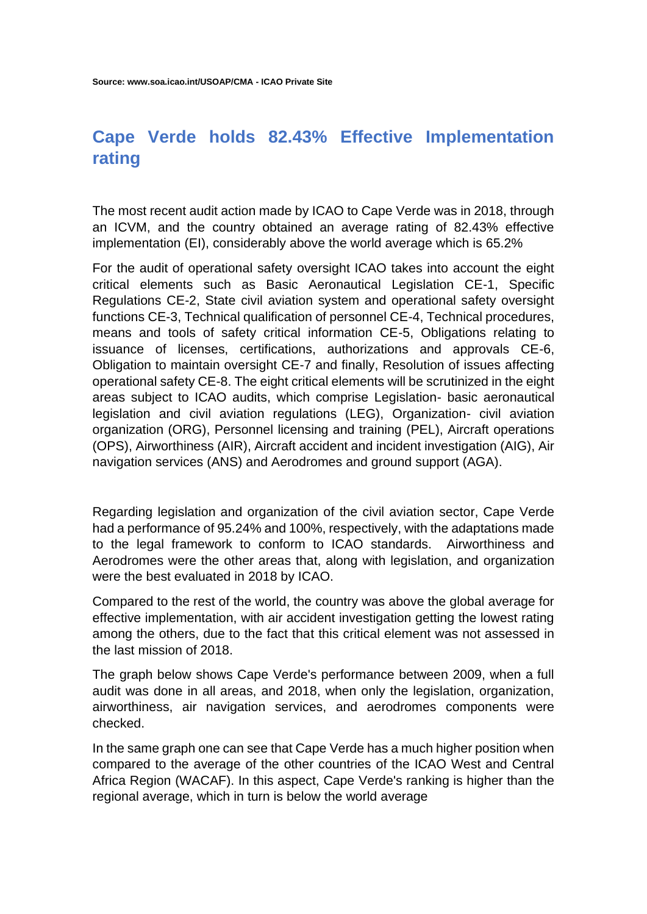## **Cape Verde holds 82.43% Effective Implementation rating**

The most recent audit action made by ICAO to Cape Verde was in 2018, through an ICVM, and the country obtained an average rating of 82.43% effective implementation (EI), considerably above the world average which is 65.2%

For the audit of operational safety oversight ICAO takes into account the eight critical elements such as Basic Aeronautical Legislation CE-1, Specific Regulations CE-2, State civil aviation system and operational safety oversight functions CE-3, Technical qualification of personnel CE-4, Technical procedures, means and tools of safety critical information CE-5, Obligations relating to issuance of licenses, certifications, authorizations and approvals CE-6, Obligation to maintain oversight CE-7 and finally, Resolution of issues affecting operational safety CE-8. The eight critical elements will be scrutinized in the eight areas subject to ICAO audits, which comprise Legislation- basic aeronautical legislation and civil aviation regulations (LEG), Organization- civil aviation organization (ORG), Personnel licensing and training (PEL), Aircraft operations (OPS), Airworthiness (AIR), Aircraft accident and incident investigation (AIG), Air navigation services (ANS) and Aerodromes and ground support (AGA).

Regarding legislation and organization of the civil aviation sector, Cape Verde had a performance of 95.24% and 100%, respectively, with the adaptations made to the legal framework to conform to ICAO standards. Airworthiness and Aerodromes were the other areas that, along with legislation, and organization were the best evaluated in 2018 by ICAO.

Compared to the rest of the world, the country was above the global average for effective implementation, with air accident investigation getting the lowest rating among the others, due to the fact that this critical element was not assessed in the last mission of 2018.

The graph below shows Cape Verde's performance between 2009, when a full audit was done in all areas, and 2018, when only the legislation, organization, airworthiness, air navigation services, and aerodromes components were checked.

In the same graph one can see that Cape Verde has a much higher position when compared to the average of the other countries of the ICAO West and Central Africa Region (WACAF). In this aspect, Cape Verde's ranking is higher than the regional average, which in turn is below the world average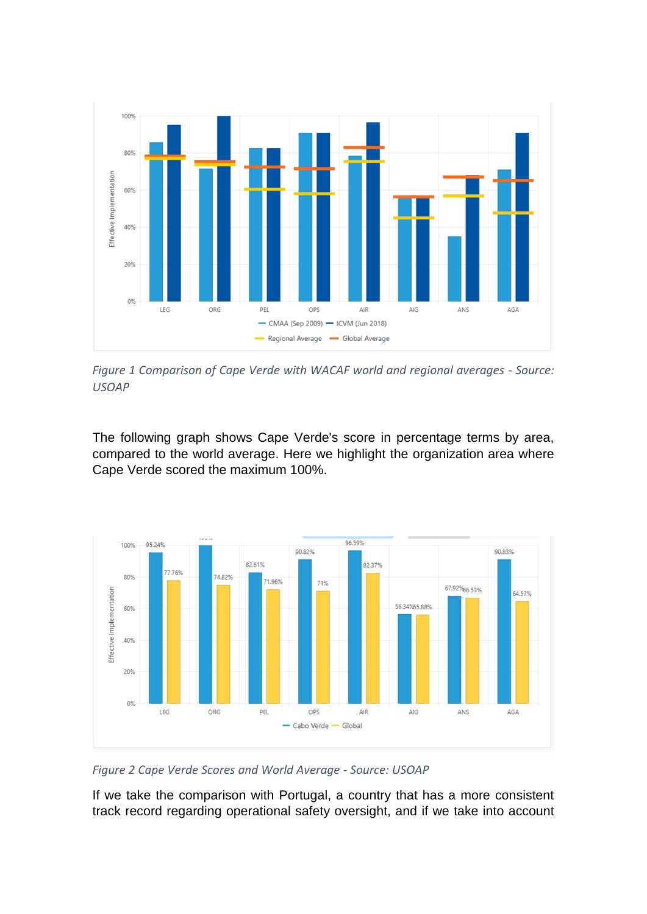

*Figure 1 Comparison of Cape Verde with WACAF world and regional averages - Source: USOAP*

The following graph shows Cape Verde's score in percentage terms by area, compared to the world average. Here we highlight the organization area where Cape Verde scored the maximum 100%.



*Figure 2 Cape Verde Scores and World Average - Source: USOAP*

If we take the comparison with Portugal, a country that has a more consistent track record regarding operational safety oversight, and if we take into account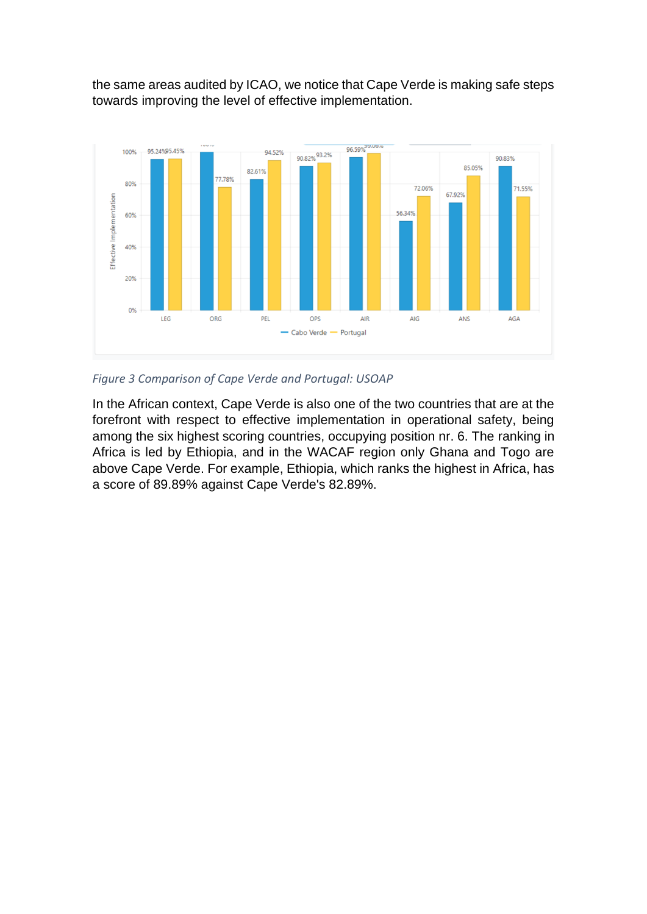the same areas audited by ICAO, we notice that Cape Verde is making safe steps towards improving the level of effective implementation.



*Figure 3 Comparison of Cape Verde and Portugal: USOAP*

In the African context, Cape Verde is also one of the two countries that are at the forefront with respect to effective implementation in operational safety, being among the six highest scoring countries, occupying position nr. 6. The ranking in Africa is led by Ethiopia, and in the WACAF region only Ghana and Togo are above Cape Verde. For example, Ethiopia, which ranks the highest in Africa, has a score of 89.89% against Cape Verde's 82.89%.